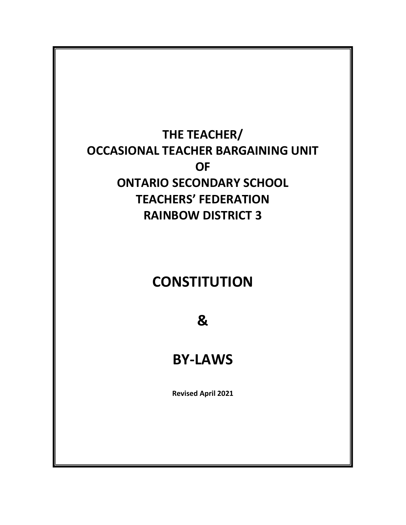# **THE TEACHER/ OCCASIONAL TEACHER BARGAINING UNIT OF ONTARIO SECONDARY SCHOOL TEACHERS' FEDERATION RAINBOW DISTRICT 3**

# **CONSTITUTION**

**&**

# **BY-LAWS**

**Revised April 2021**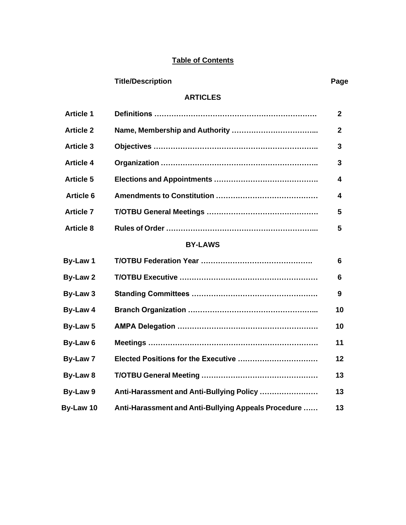# **Table of Contents**

| <b>Title/Description</b> | Page |
|--------------------------|------|
|                          |      |

## **ARTICLES**

| <b>Article 1</b> |  | $\mathbf{2}$ |  |
|------------------|--|--------------|--|
| <b>Article 2</b> |  | $\mathbf{2}$ |  |
| <b>Article 3</b> |  | 3            |  |
| <b>Article 4</b> |  | 3            |  |
| <b>Article 5</b> |  | 4            |  |
| <b>Article 6</b> |  | 4            |  |
| <b>Article 7</b> |  | 5            |  |
| <b>Article 8</b> |  | 5            |  |
| <b>BY-LAWS</b>   |  |              |  |
| By-Law 1         |  | 6            |  |
| By-Law 2         |  | 6            |  |
| By-Law 3         |  | 9            |  |
| By-Law 4         |  | 10           |  |
|                  |  |              |  |

| By-Law 5  |                                                     | 10                |
|-----------|-----------------------------------------------------|-------------------|
| By-Law 6  |                                                     | 11                |
| By-Law 7  |                                                     | $12 \ \mathsf{ }$ |
| By-Law 8  |                                                     | 13                |
| By-Law 9  | Anti-Harassment and Anti-Bullying Policy            | 13                |
| By-Law 10 | Anti-Harassment and Anti-Bullying Appeals Procedure | 13                |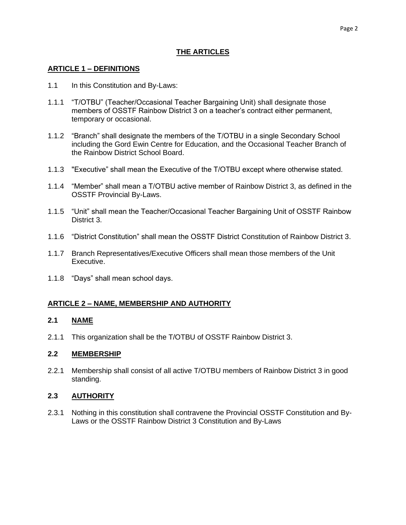## **THE ARTICLES**

## **ARTICLE 1 – DEFINITIONS**

- 1.1 In this Constitution and By-Laws:
- 1.1.1 "T/OTBU" (Teacher/Occasional Teacher Bargaining Unit) shall designate those members of OSSTF Rainbow District 3 on a teacher's contract either permanent, temporary or occasional.
- 1.1.2 "Branch" shall designate the members of the T/OTBU in a single Secondary School including the Gord Ewin Centre for Education, and the Occasional Teacher Branch of the Rainbow District School Board.
- 1.1.3 "Executive" shall mean the Executive of the T/OTBU except where otherwise stated.
- 1.1.4 "Member" shall mean a T/OTBU active member of Rainbow District 3, as defined in the OSSTF Provincial By-Laws.
- 1.1.5 "Unit" shall mean the Teacher/Occasional Teacher Bargaining Unit of OSSTF Rainbow District 3.
- 1.1.6 "District Constitution" shall mean the OSSTF District Constitution of Rainbow District 3.
- 1.1.7 Branch Representatives/Executive Officers shall mean those members of the Unit Executive.
- 1.1.8 "Days" shall mean school days.

## **ARTICLE 2 – NAME, MEMBERSHIP AND AUTHORITY**

## **2.1 NAME**

2.1.1 This organization shall be the T/OTBU of OSSTF Rainbow District 3.

## **2.2 MEMBERSHIP**

2.2.1 Membership shall consist of all active T/OTBU members of Rainbow District 3 in good standing.

## **2.3 AUTHORITY**

2.3.1 Nothing in this constitution shall contravene the Provincial OSSTF Constitution and By-Laws or the OSSTF Rainbow District 3 Constitution and By-Laws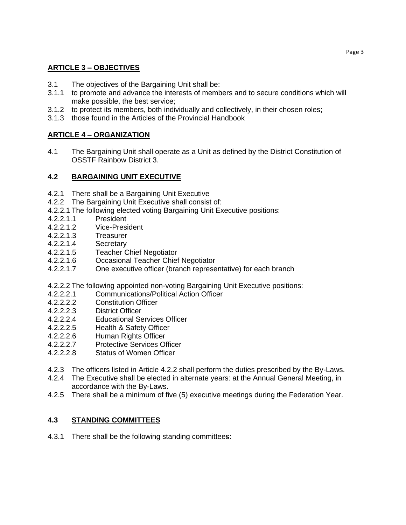# **ARTICLE 3 – OBJECTIVES**

- 3.1 The objectives of the Bargaining Unit shall be:
- 3.1.1 to promote and advance the interests of members and to secure conditions which will make possible, the best service;
- 3.1.2 to protect its members, both individually and collectively, in their chosen roles;
- 3.1.3 those found in the Articles of the Provincial Handbook

# **ARTICLE 4 – ORGANIZATION**

4.1 The Bargaining Unit shall operate as a Unit as defined by the District Constitution of OSSTF Rainbow District 3.

## **4.2 BARGAINING UNIT EXECUTIVE**

- 4.2.1 There shall be a Bargaining Unit Executive
- 4.2.2 The Bargaining Unit Executive shall consist of:
- 4.2.2.1 The following elected voting Bargaining Unit Executive positions:
- 4.2.2.1.1 President
- 4.2.2.1.2 Vice-President
- 4.2.2.1.3 Treasurer
- 4.2.2.1.4 Secretary
- 4.2.2.1.5 Teacher Chief Negotiator
- 4.2.2.1.6 Occasional Teacher Chief Negotiator
- 4.2.2.1.7 One executive officer (branch representative) for each branch

4.2.2.2 The following appointed non-voting Bargaining Unit Executive positions:

- 4.2.2.2.1 Communications/Political Action Officer
- 4.2.2.2.2 Constitution Officer
- 4.2.2.2.3 District Officer
- 4.2.2.2.4 Educational Services Officer
- 4.2.2.2.5 Health & Safety Officer
- 4.2.2.2.6 Human Rights Officer
- 4.2.2.2.7 Protective Services Officer
- 4.2.2.2.8 Status of Women Officer
- 4.2.3 The officers listed in Article 4.2.2 shall perform the duties prescribed by the By-Laws.
- 4.2.4 The Executive shall be elected in alternate years: at the Annual General Meeting, in accordance with the By-Laws.
- 4.2.5 There shall be a minimum of five (5) executive meetings during the Federation Year.

# **4.3 STANDING COMMITTEES**

4.3.1 There shall be the following standing committees: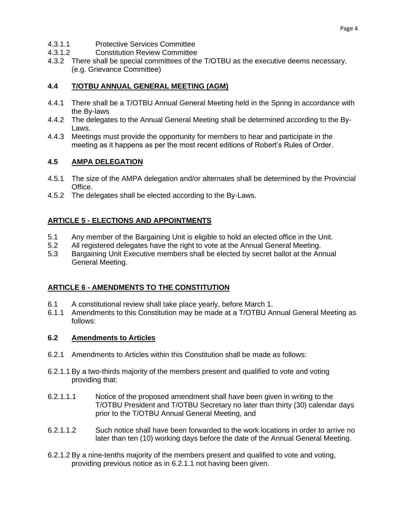- 4.3.1.1 Protective Services Committee<br>4.3.1.2 Constitution Review Committee
- 4.3.1.2 Constitution Review Committee
- 4.3.2 There shall be special committees of the T/OTBU as the executive deems necessary. (e.g. Grievance Committee)

#### **4.4 T/OTBU ANNUAL GENERAL MEETING (AGM)**

- 4.4.1 There shall be a T/OTBU Annual General Meeting held in the Spring in accordance with the By-laws
- 4.4.2 The delegates to the Annual General Meeting shall be determined according to the By-Laws.
- 4.4.3 Meetings must provide the opportunity for members to hear and participate in the meeting as it happens as per the most recent editions of Robert's Rules of Order.

#### **4.5 AMPA DELEGATION**

- 4.5.1 The size of the AMPA delegation and/or alternates shall be determined by the Provincial Office.
- 4.5.2 The delegates shall be elected according to the By-Laws.

## **ARTICLE 5 - ELECTIONS AND APPOINTMENTS**

- 5.1 Any member of the Bargaining Unit is eligible to hold an elected office in the Unit.
- 5.2 All registered delegates have the right to vote at the Annual General Meeting.
- 5.3 Bargaining Unit Executive members shall be elected by secret ballot at the Annual General Meeting.

## **ARTICLE 6 - AMENDMENTS TO THE CONSTITUTION**

- 6.1 A constitutional review shall take place yearly, before March 1.
- 6.1.1 Amendments to this Constitution may be made at a T/OTBU Annual General Meeting as follows:

#### **6.2 Amendments to Articles**

- 6.2.1 Amendments to Articles within this Constitution shall be made as follows:
- 6.2.1.1 By a two-thirds majority of the members present and qualified to vote and voting providing that:
- 6.2.1.1.1 Notice of the proposed amendment shall have been given in writing to the T/OTBU President and T/OTBU Secretary no later than thirty (30) calendar days prior to the T/OTBU Annual General Meeting, and
- 6.2.1.1.2 Such notice shall have been forwarded to the work locations in order to arrive no later than ten (10) working days before the date of the Annual General Meeting.
- 6.2.1.2 By a nine-tenths majority of the members present and qualified to vote and voting, providing previous notice as in 6.2.1.1 not having been given.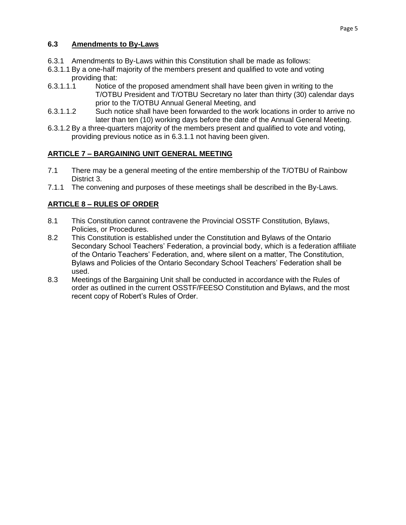## **6.3 Amendments to By-Laws**

- 6.3.1 Amendments to By-Laws within this Constitution shall be made as follows:
- 6.3.1.1 By a one-half majority of the members present and qualified to vote and voting providing that:
- 6.3.1.1.1 Notice of the proposed amendment shall have been given in writing to the T/OTBU President and T/OTBU Secretary no later than thirty (30) calendar days prior to the T/OTBU Annual General Meeting, and
- 6.3.1.1.2 Such notice shall have been forwarded to the work locations in order to arrive no later than ten (10) working days before the date of the Annual General Meeting.
- 6.3.1.2 By a three-quarters majority of the members present and qualified to vote and voting, providing previous notice as in 6.3.1.1 not having been given.

## **ARTICLE 7 – BARGAINING UNIT GENERAL MEETING**

- 7.1 There may be a general meeting of the entire membership of the T/OTBU of Rainbow District 3.
- 7.1.1 The convening and purposes of these meetings shall be described in the By-Laws.

# **ARTICLE 8 – RULES OF ORDER**

- 8.1 This Constitution cannot contravene the Provincial OSSTF Constitution, Bylaws, Policies, or Procedures.
- 8.2 This Constitution is established under the Constitution and Bylaws of the Ontario Secondary School Teachers' Federation, a provincial body, which is a federation affiliate of the Ontario Teachers' Federation, and, where silent on a matter, The Constitution, Bylaws and Policies of the Ontario Secondary School Teachers' Federation shall be used.
- 8.3 Meetings of the Bargaining Unit shall be conducted in accordance with the Rules of order as outlined in the current OSSTF/FEESO Constitution and Bylaws, and the most recent copy of Robert's Rules of Order.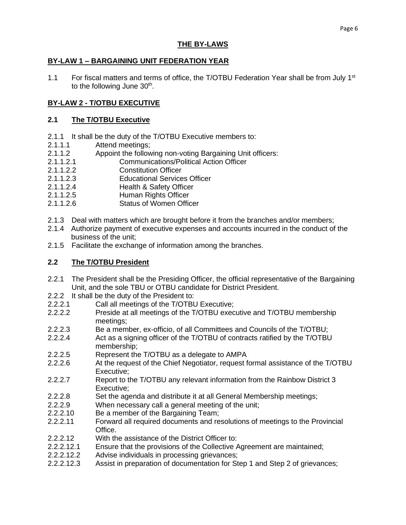## **THE BY-LAWS**

#### **BY-LAW 1 – BARGAINING UNIT FEDERATION YEAR**

1.1 For fiscal matters and terms of office, the T/OTBU Federation Year shall be from July 1<sup>st</sup> to the following June  $30<sup>th</sup>$ .

## **BY-LAW 2 - T/OTBU EXECUTIVE**

#### **2.1 The T/OTBU Executive**

- 2.1.1 It shall be the duty of the T/OTBU Executive members to:
- 2.1.1.1 Attend meetings;
- 2.1.1.2 Appoint the following non-voting Bargaining Unit officers:
- 2.1.1.2.1 Communications/Political Action Officer
- 2.1.1.2.2 Constitution Officer
- 2.1.1.2.3 Educational Services Officer
- 2.1.1.2.4 Health & Safety Officer
- 2.1.1.2.5 Human Rights Officer
- 2.1.1.2.6 Status of Women Officer
- 2.1.3 Deal with matters which are brought before it from the branches and/or members;
- 2.1.4 Authorize payment of executive expenses and accounts incurred in the conduct of the business of the unit;
- 2.1.5 Facilitate the exchange of information among the branches.

### **2.2 The T/OTBU President**

- 2.2.1 The President shall be the Presiding Officer, the official representative of the Bargaining Unit, and the sole TBU or OTBU candidate for District President.
- 2.2.2 It shall be the duty of the President to:
- 2.2.2.1 Call all meetings of the T/OTBU Executive;
- 2.2.2.2 Preside at all meetings of the T/OTBU executive and T/OTBU membership meetings;
- 2.2.2.3 Be a member, ex-officio, of all Committees and Councils of the T/OTBU;
- 2.2.2.4 Act as a signing officer of the T/OTBU of contracts ratified by the T/OTBU membership;
- 2.2.2.5 Represent the T/OTBU as a delegate to AMPA
- 2.2.2.6 At the request of the Chief Negotiator, request formal assistance of the T/OTBU Executive;
- 2.2.2.7 Report to the T/OTBU any relevant information from the Rainbow District 3 Executive;
- 2.2.2.8 Set the agenda and distribute it at all General Membership meetings;
- 2.2.2.9 When necessary call a general meeting of the unit;
- 2.2.2.10 Be a member of the Bargaining Team;
- 2.2.2.11 Forward all required documents and resolutions of meetings to the Provincial Office.
- 2.2.2.12 With the assistance of the District Officer to:
- 2.2.2.12.1 Ensure that the provisions of the Collective Agreement are maintained;
- 2.2.2.12.2 Advise individuals in processing grievances;
- 2.2.2.12.3 Assist in preparation of documentation for Step 1 and Step 2 of grievances;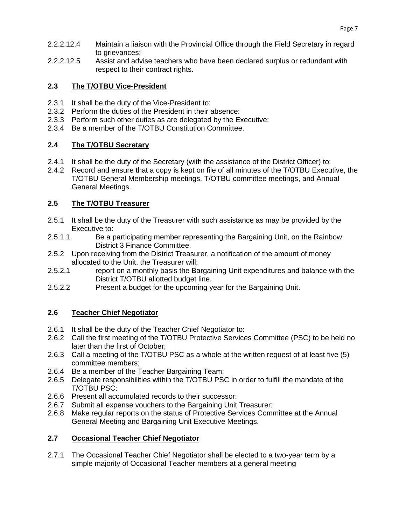- 2.2.2.12.4 Maintain a liaison with the Provincial Office through the Field Secretary in regard to grievances:
- 2.2.2.12.5 Assist and advise teachers who have been declared surplus or redundant with respect to their contract rights.

## **2.3 The T/OTBU Vice-President**

- 2.3.1 It shall be the duty of the Vice-President to:
- 2.3.2 Perform the duties of the President in their absence:
- 2.3.3 Perform such other duties as are delegated by the Executive:
- 2.3.4 Be a member of the T/OTBU Constitution Committee.

## **2.4 The T/OTBU Secretary**

- 2.4.1 It shall be the duty of the Secretary (with the assistance of the District Officer) to:
- 2.4.2 Record and ensure that a copy is kept on file of all minutes of the T/OTBU Executive, the T/OTBU General Membership meetings, T/OTBU committee meetings, and Annual General Meetings.

## **2.5 The T/OTBU Treasurer**

- 2.5.1 It shall be the duty of the Treasurer with such assistance as may be provided by the Executive to:
- 2.5.1.1. Be a participating member representing the Bargaining Unit, on the Rainbow District 3 Finance Committee.
- 2.5.2 Upon receiving from the District Treasurer, a notification of the amount of money allocated to the Unit, the Treasurer will:
- 2.5.2.1 report on a monthly basis the Bargaining Unit expenditures and balance with the District T/OTBU allotted budget line.
- 2.5.2.2 Present a budget for the upcoming year for the Bargaining Unit.

## **2.6 Teacher Chief Negotiator**

- 2.6.1 It shall be the duty of the Teacher Chief Negotiator to:
- 2.6.2 Call the first meeting of the T/OTBU Protective Services Committee (PSC) to be held no later than the first of October;
- 2.6.3 Call a meeting of the T/OTBU PSC as a whole at the written request of at least five (5) committee members;
- 2.6.4 Be a member of the Teacher Bargaining Team;
- 2.6.5 Delegate responsibilities within the T/OTBU PSC in order to fulfill the mandate of the T/OTBU PSC:
- 2.6.6 Present all accumulated records to their successor:
- 2.6.7 Submit all expense vouchers to the Bargaining Unit Treasurer:
- 2.6.8 Make regular reports on the status of Protective Services Committee at the Annual General Meeting and Bargaining Unit Executive Meetings.

## **2.7 Occasional Teacher Chief Negotiator**

2.7.1 The Occasional Teacher Chief Negotiator shall be elected to a two-year term by a simple majority of Occasional Teacher members at a general meeting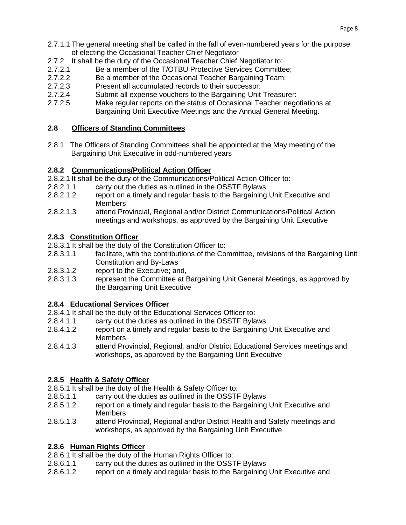- 2.7.1.1 The general meeting shall be called in the fall of even-numbered years for the purpose of electing the Occasional Teacher Chief Negotiator
- 2.7.2 It shall be the duty of the Occasional Teacher Chief Negotiator to:
- 2.7.2.1 Be a member of the T/OTBU Protective Services Committee;
- 2.7.2.2 Be a member of the Occasional Teacher Bargaining Team;
- 2.7.2.3 Present all accumulated records to their successor:
- 2.7.2.4 Submit all expense vouchers to the Bargaining Unit Treasurer:
- 2.7.2.5 Make regular reports on the status of Occasional Teacher negotiations at Bargaining Unit Executive Meetings and the Annual General Meeting.

## **2.8 Officers of Standing Committees**

2.8.1 The Officers of Standing Committees shall be appointed at the May meeting of the Bargaining Unit Executive in odd-numbered years

## **2.8.2 Communications/Political Action Officer**

- 2.8.2.1 It shall be the duty of the Communications/Political Action Officer to:
- 2.8.2.1.1 carry out the duties as outlined in the OSSTF Bylaws
- 2.8.2.1.2 report on a timely and regular basis to the Bargaining Unit Executive and **Members**
- 2.8.2.1.3 attend Provincial, Regional and/or District Communications/Political Action meetings and workshops, as approved by the Bargaining Unit Executive

#### **2.8.3 Constitution Officer**

2.8.3.1 It shall be the duty of the Constitution Officer to:

- 2.8.3.1.1 facilitate, with the contributions of the Committee, revisions of the Bargaining Unit Constitution and By-Laws
- 2.8.3.1.2 report to the Executive; and,
- 2.8.3.1.3 represent the Committee at Bargaining Unit General Meetings, as approved by the Bargaining Unit Executive

#### **2.8.4 Educational Services Officer**

- 2.8.4.1 It shall be the duty of the Educational Services Officer to:
- 2.8.4.1.1 carry out the duties as outlined in the OSSTF Bylaws
- 2.8.4.1.2 report on a timely and regular basis to the Bargaining Unit Executive and **Members**
- 2.8.4.1.3 attend Provincial, Regional, and/or District Educational Services meetings and workshops, as approved by the Bargaining Unit Executive

## **2.8.5 Health & Safety Officer**

- 2.8.5.1 It shall be the duty of the Health & Safety Officer to:
- 2.8.5.1.1 carry out the duties as outlined in the OSSTF Bylaws
- 2.8.5.1.2 report on a timely and regular basis to the Bargaining Unit Executive and Members
- 2.8.5.1.3 attend Provincial, Regional and/or District Health and Safety meetings and workshops, as approved by the Bargaining Unit Executive

## **2.8.6 Human Rights Officer**

- 2.8.6.1 It shall be the duty of the Human Rights Officer to:
- 2.8.6.1.1 carry out the duties as outlined in the OSSTF Bylaws
- 2.8.6.1.2 report on a timely and regular basis to the Bargaining Unit Executive and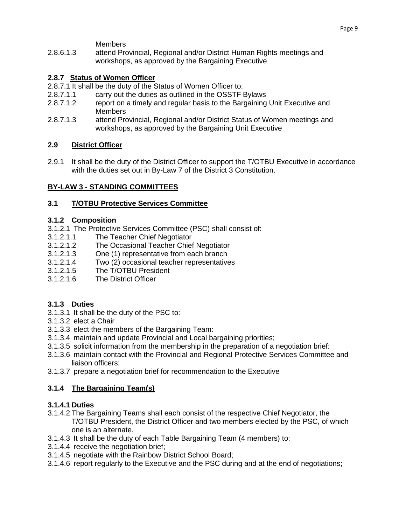**Members** 

2.8.6.1.3 attend Provincial, Regional and/or District Human Rights meetings and workshops, as approved by the Bargaining Executive

# **2.8.7 Status of Women Officer**

- 2.8.7.1 It shall be the duty of the Status of Women Officer to:
- 2.8.7.1.1 carry out the duties as outlined in the OSSTF Bylaws
- 2.8.7.1.2 report on a timely and regular basis to the Bargaining Unit Executive and **Members**
- 2.8.7.1.3 attend Provincial, Regional and/or District Status of Women meetings and workshops, as approved by the Bargaining Unit Executive

## **2.9 District Officer**

2.9.1 It shall be the duty of the District Officer to support the T/OTBU Executive in accordance with the duties set out in By-Law 7 of the District 3 Constitution.

## **BY-LAW 3 - STANDING COMMITTEES**

## **3.1 T/OTBU Protective Services Committee**

## **3.1.2 Composition**

- 3.1.2.1 The Protective Services Committee (PSC) shall consist of:
- 3.1.2.1.1 The Teacher Chief Negotiator
- 3.1.2.1.2 The Occasional Teacher Chief Negotiator
- 3.1.2.1.3 One (1) representative from each branch
- 3.1.2.1.4 Two (2) occasional teacher representatives
- 3.1.2.1.5 The T/OTBU President
- 3.1.2.1.6 The District Officer

# **3.1.3 Duties**

- 3.1.3.1 It shall be the duty of the PSC to:
- 3.1.3.2 elect a Chair
- 3.1.3.3 elect the members of the Bargaining Team:
- 3.1.3.4 maintain and update Provincial and Local bargaining priorities;
- 3.1.3.5 solicit information from the membership in the preparation of a negotiation brief:
- 3.1.3.6 maintain contact with the Provincial and Regional Protective Services Committee and liaison officers:
- 3.1.3.7 prepare a negotiation brief for recommendation to the Executive

# **3.1.4 The Bargaining Team(s)**

## **3.1.4.1 Duties**

- 3.1.4.2 The Bargaining Teams shall each consist of the respective Chief Negotiator, the T/OTBU President, the District Officer and two members elected by the PSC, of which one is an alternate.
- 3.1.4.3 It shall be the duty of each Table Bargaining Team (4 members) to:
- 3.1.4.4 receive the negotiation brief;
- 3.1.4.5 negotiate with the Rainbow District School Board;
- 3.1.4.6 report regularly to the Executive and the PSC during and at the end of negotiations;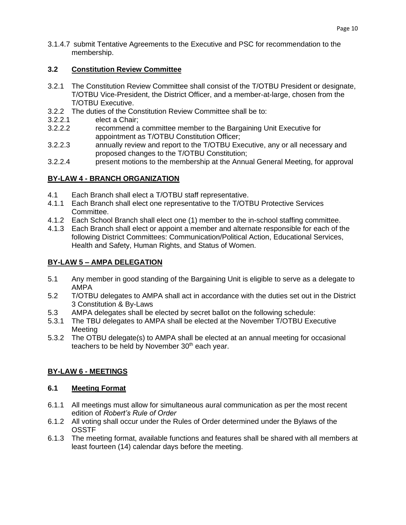3.1.4.7 submit Tentative Agreements to the Executive and PSC for recommendation to the membership.

## **3.2 Constitution Review Committee**

- 3.2.1 The Constitution Review Committee shall consist of the T/OTBU President or designate, T/OTBU Vice-President, the District Officer, and a member-at-large, chosen from the T/OTBU Executive.
- 3.2.2 The duties of the Constitution Review Committee shall be to:
- 3.2.2.1 elect a Chair;
- 3.2.2.2 recommend a committee member to the Bargaining Unit Executive for appointment as T/OTBU Constitution Officer;
- 3.2.2.3 annually review and report to the T/OTBU Executive, any or all necessary and proposed changes to the T/OTBU Constitution;
- 3.2.2.4 present motions to the membership at the Annual General Meeting, for approval

# **BY-LAW 4 - BRANCH ORGANIZATION**

- 4.1 Each Branch shall elect a T/OTBU staff representative.
- 4.1.1 Each Branch shall elect one representative to the T/OTBU Protective Services Committee.
- 4.1.2 Each School Branch shall elect one (1) member to the in-school staffing committee.
- 4.1.3 Each Branch shall elect or appoint a member and alternate responsible for each of the following District Committees: Communication/Political Action, Educational Services, Health and Safety, Human Rights, and Status of Women.

# **BY-LAW 5 – AMPA DELEGATION**

- 5.1 Any member in good standing of the Bargaining Unit is eligible to serve as a delegate to AMPA
- 5.2 T/OTBU delegates to AMPA shall act in accordance with the duties set out in the District 3 Constitution & By-Laws
- 5.3 AMPA delegates shall be elected by secret ballot on the following schedule:
- 5.3.1 The TBU delegates to AMPA shall be elected at the November T/OTBU Executive Meeting
- 5.3.2 The OTBU delegate(s) to AMPA shall be elected at an annual meeting for occasional teachers to be held by November  $30<sup>th</sup>$  each year.

# **BY-LAW 6 - MEETINGS**

## **6.1 Meeting Format**

- 6.1.1 All meetings must allow for simultaneous aural communication as per the most recent edition of *Robert's Rule of Order*
- 6.1.2 All voting shall occur under the Rules of Order determined under the Bylaws of the **OSSTF**
- 6.1.3 The meeting format, available functions and features shall be shared with all members at least fourteen (14) calendar days before the meeting.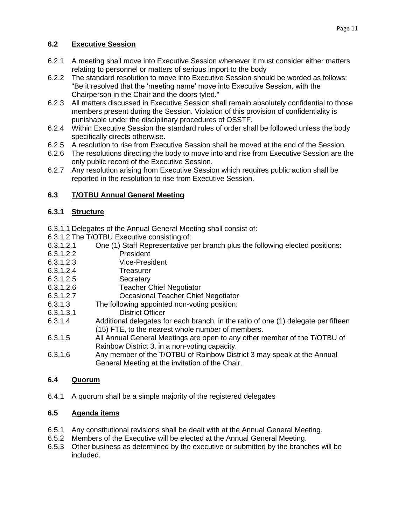# **6.2 Executive Session**

- 6.2.1 A meeting shall move into Executive Session whenever it must consider either matters relating to personnel or matters of serious import to the body
- 6.2.2 The standard resolution to move into Executive Session should be worded as follows: "Be it resolved that the 'meeting name' move into Executive Session, with the Chairperson in the Chair and the doors tyled."
- 6.2.3 All matters discussed in Executive Session shall remain absolutely confidential to those members present during the Session. Violation of this provision of confidentiality is punishable under the disciplinary procedures of OSSTF.
- 6.2.4 Within Executive Session the standard rules of order shall be followed unless the body specifically directs otherwise.
- 6.2.5 A resolution to rise from Executive Session shall be moved at the end of the Session.
- 6.2.6 The resolutions directing the body to move into and rise from Executive Session are the only public record of the Executive Session.
- 6.2.7 Any resolution arising from Executive Session which requires public action shall be reported in the resolution to rise from Executive Session.

# **6.3 T/OTBU Annual General Meeting**

# **6.3.1 Structure**

- 6.3.1.1 Delegates of the Annual General Meeting shall consist of:
- 6.3.1.2 The T/OTBU Executive consisting of:
- 6.3.1.2.1 One (1) Staff Representative per branch plus the following elected positions:
- 6.3.1.2.2 President
- 6.3.1.2.3 Vice-President
- 6.3.1.2.4 Treasurer
- 6.3.1.2.5 Secretary
- 6.3.1.2.6 Teacher Chief Negotiator
- 6.3.1.2.7 Occasional Teacher Chief Negotiator
- 6.3.1.3 The following appointed non-voting position:
- 6.3.1.3.1 District Officer
- 6.3.1.4 Additional delegates for each branch, in the ratio of one (1) delegate per fifteen (15) FTE, to the nearest whole number of members.
- 6.3.1.5 All Annual General Meetings are open to any other member of the T/OTBU of Rainbow District 3, in a non-voting capacity.
- 6.3.1.6 Any member of the T/OTBU of Rainbow District 3 may speak at the Annual General Meeting at the invitation of the Chair.

# **6.4 Quorum**

6.4.1 A quorum shall be a simple majority of the registered delegates

# **6.5 Agenda items**

- 6.5.1 Any constitutional revisions shall be dealt with at the Annual General Meeting.
- 6.5.2 Members of the Executive will be elected at the Annual General Meeting.
- 6.5.3 Other business as determined by the executive or submitted by the branches will be included.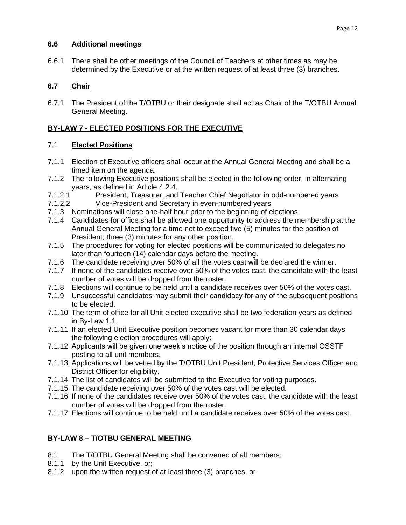## **6.6 Additional meetings**

6.6.1 There shall be other meetings of the Council of Teachers at other times as may be determined by the Executive or at the written request of at least three (3) branches.

# **6.7 Chair**

6.7.1 The President of the T/OTBU or their designate shall act as Chair of the T/OTBU Annual General Meeting.

# **BY-LAW 7 - ELECTED POSITIONS FOR THE EXECUTIVE**

# 7.1 **Elected Positions**

- 7.1.1 Election of Executive officers shall occur at the Annual General Meeting and shall be a timed item on the agenda.
- 7.1.2 The following Executive positions shall be elected in the following order, in alternating years, as defined in Article 4.2.4.
- 7.1.2.1 President, Treasurer, and Teacher Chief Negotiator in odd-numbered years
- 7.1.2.2 Vice-President and Secretary in even-numbered years
- 7.1.3 Nominations will close one-half hour prior to the beginning of elections.
- 7.1.4 Candidates for office shall be allowed one opportunity to address the membership at the Annual General Meeting for a time not to exceed five (5) minutes for the position of President; three (3) minutes for any other position.
- 7.1.5 The procedures for voting for elected positions will be communicated to delegates no later than fourteen (14) calendar days before the meeting.
- 7.1.6 The candidate receiving over 50% of all the votes cast will be declared the winner.
- 7.1.7 If none of the candidates receive over 50% of the votes cast, the candidate with the least number of votes will be dropped from the roster.
- 7.1.8 Elections will continue to be held until a candidate receives over 50% of the votes cast.
- 7.1.9 Unsuccessful candidates may submit their candidacy for any of the subsequent positions to be elected.
- 7.1.10 The term of office for all Unit elected executive shall be two federation years as defined in By-Law 1.1
- 7.1.11 If an elected Unit Executive position becomes vacant for more than 30 calendar days, the following election procedures will apply:
- 7.1.12 Applicants will be given one week's notice of the position through an internal OSSTF posting to all unit members.
- 7.1.13 Applications will be vetted by the T/OTBU Unit President, Protective Services Officer and District Officer for eligibility.
- 7.1.14 The list of candidates will be submitted to the Executive for voting purposes.
- 7.1.15 The candidate receiving over 50% of the votes cast will be elected.
- 7.1.16 If none of the candidates receive over 50% of the votes cast, the candidate with the least number of votes will be dropped from the roster.
- 7.1.17 Elections will continue to be held until a candidate receives over 50% of the votes cast.

# **BY-LAW 8 – T/OTBU GENERAL MEETING**

- 8.1 The T/OTBU General Meeting shall be convened of all members:
- 8.1.1 by the Unit Executive, or;
- 8.1.2 upon the written request of at least three (3) branches, or